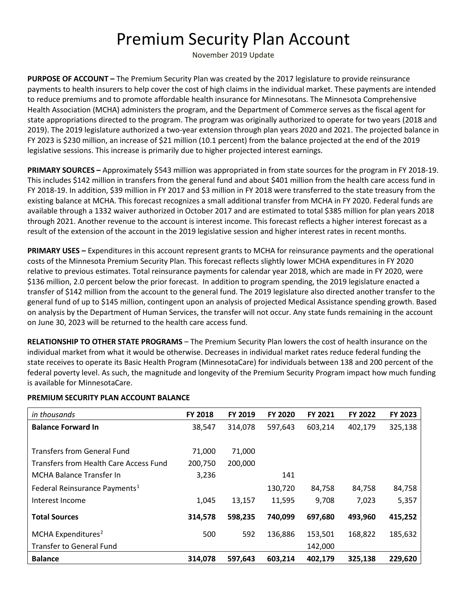## Premium Security Plan Account

November 2019 Update

**PURPOSE OF ACCOUNT –** The Premium Security Plan was created by the 2017 legislature to provide reinsurance payments to health insurers to help cover the cost of high claims in the individual market. These payments are intended to reduce premiums and to promote affordable health insurance for Minnesotans. The Minnesota Comprehensive Health Association (MCHA) administers the program, and the Department of Commerce serves as the fiscal agent for state appropriations directed to the program. The program was originally authorized to operate for two years (2018 and 2019). The 2019 legislature authorized a two-year extension through plan years 2020 and 2021. The projected balance in FY 2023 is \$230 million, an increase of \$21 million (10.1 percent) from the balance projected at the end of the 2019 legislative sessions. This increase is primarily due to higher projected interest earnings.

**PRIMARY SOURCES –** Approximately \$543 million was appropriated in from state sources for the program in FY 2018-19. This includes \$142 million in transfers from the general fund and about \$401 million from the health care access fund in FY 2018-19. In addition, \$39 million in FY 2017 and \$3 million in FY 2018 were transferred to the state treasury from the existing balance at MCHA. This forecast recognizes a small additional transfer from MCHA in FY 2020. Federal funds are available through a 1332 waiver authorized in October 2017 and are estimated to total \$385 million for plan years 2018 through 2021. Another revenue to the account is interest income. This forecast reflects a higher interest forecast as a result of the extension of the account in the 2019 legislative session and higher interest rates in recent months.

**PRIMARY USES –** Expenditures in this account represent grants to MCHA for reinsurance payments and the operational costs of the Minnesota Premium Security Plan. This forecast reflects slightly lower MCHA expenditures in FY 2020 relative to previous estimates. Total reinsurance payments for calendar year 2018, which are made in FY 2020, were \$136 million, 2.0 percent below the prior forecast. In addition to program spending, the 2019 legislature enacted a transfer of \$142 million from the account to the general fund. The 2019 legislature also directed another transfer to the general fund of up to \$145 million, contingent upon an analysis of projected Medical Assistance spending growth. Based on analysis by the Department of Human Services, the transfer will not occur. Any state funds remaining in the account on June 30, 2023 will be returned to the health care access fund.

**RELATIONSHIP TO OTHER STATE PROGRAMS** – The Premium Security Plan lowers the cost of health insurance on the individual market from what it would be otherwise. Decreases in individual market rates reduce federal funding the state receives to operate its Basic Health Program (MinnesotaCare) for individuals between 138 and 200 percent of the federal poverty level. As such, the magnitude and longevity of the Premium Security Program impact how much funding is available for MinnesotaCare.

| in thousands                              | <b>FY 2018</b> | FY 2019 | <b>FY 2020</b> | FY 2021 | <b>FY 2022</b> | FY 2023 |
|-------------------------------------------|----------------|---------|----------------|---------|----------------|---------|
| <b>Balance Forward In</b>                 | 38,547         | 314,078 | 597,643        | 603,214 | 402,179        | 325,138 |
|                                           |                |         |                |         |                |         |
| <b>Transfers from General Fund</b>        | 71,000         | 71,000  |                |         |                |         |
| Transfers from Health Care Access Fund    | 200,750        | 200,000 |                |         |                |         |
| MCHA Balance Transfer In                  | 3,236          |         | 141            |         |                |         |
| Federal Reinsurance Payments <sup>1</sup> |                |         | 130,720        | 84,758  | 84,758         | 84,758  |
| Interest Income                           | 1,045          | 13,157  | 11,595         | 9,708   | 7,023          | 5,357   |
| <b>Total Sources</b>                      | 314,578        | 598,235 | 740,099        | 697,680 | 493,960        | 415,252 |
| MCHA Expenditures <sup>2</sup>            | 500            | 592     | 136,886        | 153,501 | 168,822        | 185,632 |
|                                           |                |         |                |         |                |         |
| <b>Transfer to General Fund</b>           |                |         |                | 142,000 |                |         |
| <b>Balance</b>                            | 314,078        | 597,643 | 603,214        | 402,179 | 325,138        | 229,620 |

## **PREMIUM SECURITY PLAN ACCOUNT BALANCE**